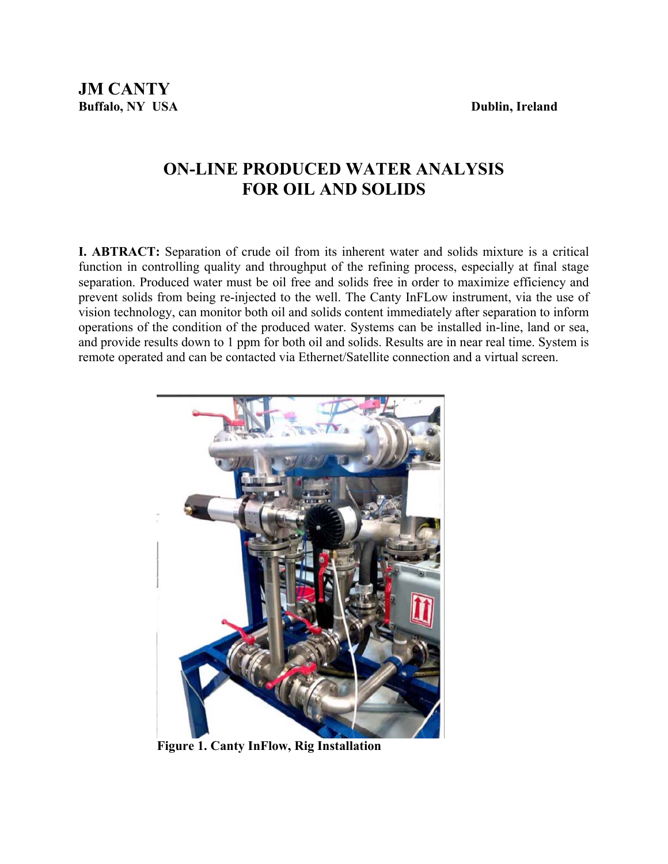# **ON-LINE PRODUCED WATER ANALYSIS FOR OIL AND SOLIDS**

**I. ABTRACT:** Separation of crude oil from its inherent water and solids mixture is a critical function in controlling quality and throughput of the refining process, especially at final stage separation. Produced water must be oil free and solids free in order to maximize efficiency and prevent solids from being re-injected to the well. The Canty InFLow instrument, via the use of vision technology, can monitor both oil and solids content immediately after separation to inform operations of the condition of the produced water. Systems can be installed in-line, land or sea, and provide results down to 1 ppm for both oil and solids. Results are in near real time. System is remote operated and can be contacted via Ethernet/Satellite connection and a virtual screen.



**Figure 1. Canty InFlow, Rig Installation**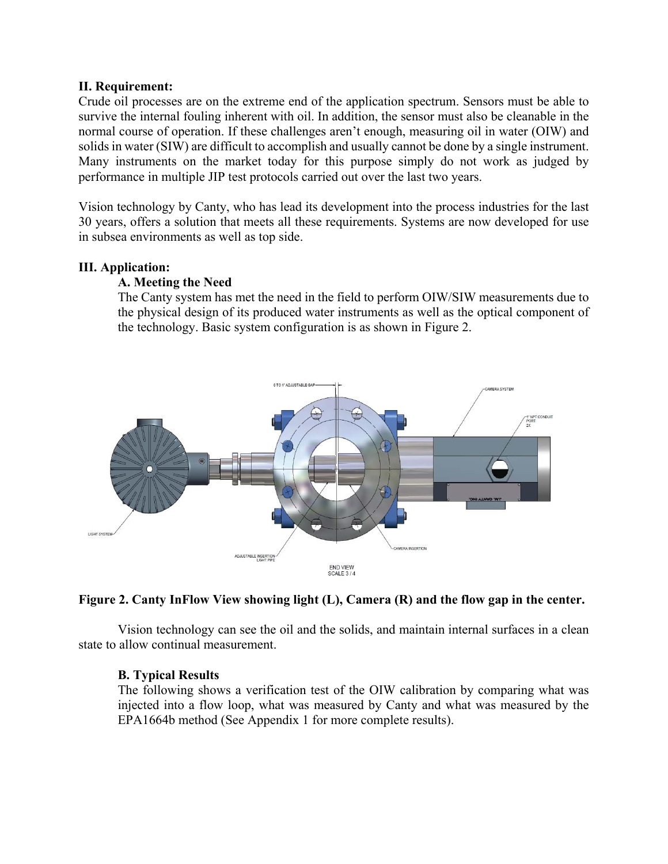#### **II. Requirement:**

Crude oil processes are on the extreme end of the application spectrum. Sensors must be able to survive the internal fouling inherent with oil. In addition, the sensor must also be cleanable in the normal course of operation. If these challenges aren't enough, measuring oil in water (OIW) and solids in water (SIW) are difficult to accomplish and usually cannot be done by a single instrument. Many instruments on the market today for this purpose simply do not work as judged by performance in multiple JIP test protocols carried out over the last two years.

Vision technology by Canty, who has lead its development into the process industries for the last 30 years, offers a solution that meets all these requirements. Systems are now developed for use in subsea environments as well as top side.

#### **III. Application:**

#### **A. Meeting the Need**

The Canty system has met the need in the field to perform OIW/SIW measurements due to the physical design of its produced water instruments as well as the optical component of the technology. Basic system configuration is as shown in Figure 2.



#### **Figure 2. Canty InFlow View showing light (L), Camera (R) and the flow gap in the center.**

 Vision technology can see the oil and the solids, and maintain internal surfaces in a clean state to allow continual measurement.

#### **B. Typical Results**

The following shows a verification test of the OIW calibration by comparing what was injected into a flow loop, what was measured by Canty and what was measured by the EPA1664b method (See Appendix 1 for more complete results).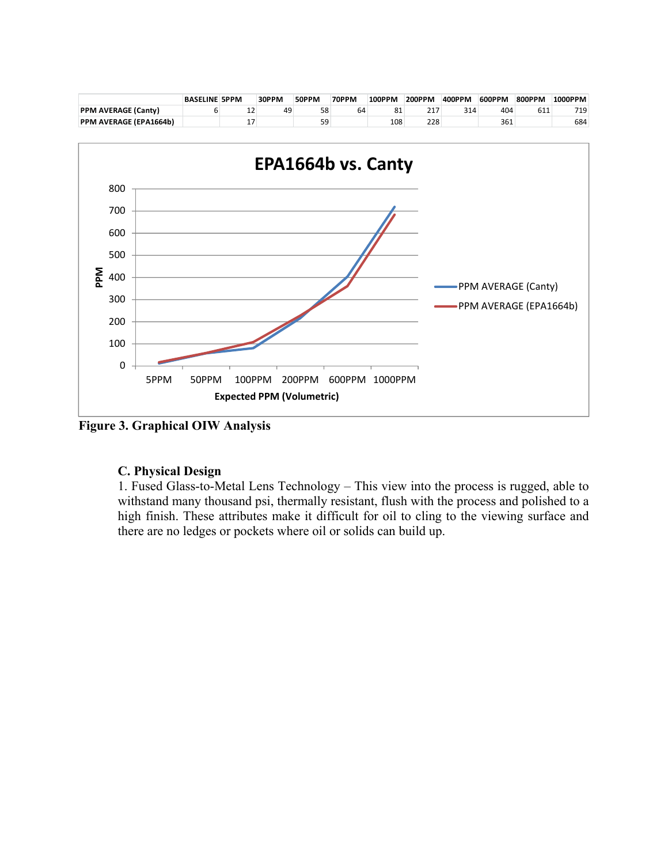

**Figure 3. Graphical OIW Analysis** 

#### **C. Physical Design**

1. Fused Glass-to-Metal Lens Technology – This view into the process is rugged, able to withstand many thousand psi, thermally resistant, flush with the process and polished to a high finish. These attributes make it difficult for oil to cling to the viewing surface and there are no ledges or pockets where oil or solids can build up.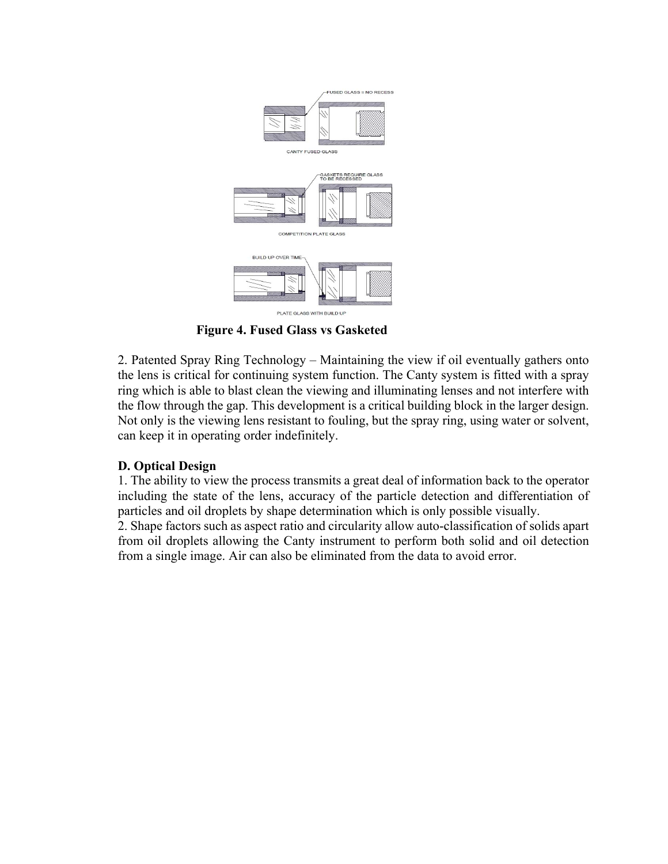

**Figure 4. Fused Glass vs Gasketed** 

2. Patented Spray Ring Technology – Maintaining the view if oil eventually gathers onto the lens is critical for continuing system function. The Canty system is fitted with a spray ring which is able to blast clean the viewing and illuminating lenses and not interfere with the flow through the gap. This development is a critical building block in the larger design. Not only is the viewing lens resistant to fouling, but the spray ring, using water or solvent, can keep it in operating order indefinitely.

### **D. Optical Design**

1. The ability to view the process transmits a great deal of information back to the operator including the state of the lens, accuracy of the particle detection and differentiation of particles and oil droplets by shape determination which is only possible visually. 2. Shape factors such as aspect ratio and circularity allow auto-classification of solids apart

from oil droplets allowing the Canty instrument to perform both solid and oil detection from a single image. Air can also be eliminated from the data to avoid error.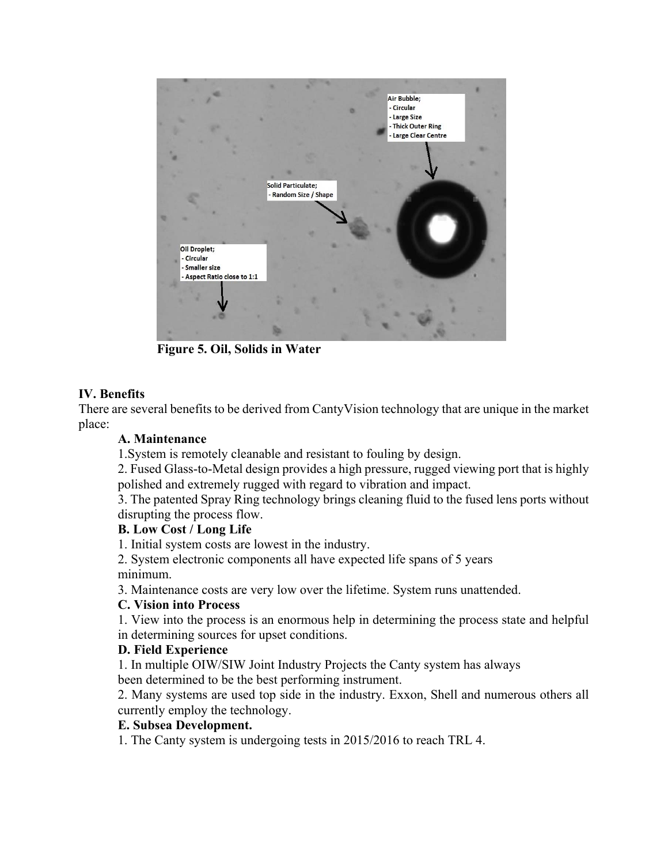

**Figure 5. Oil, Solids in Water** 

### **IV. Benefits**

There are several benefits to be derived from CantyVision technology that are unique in the market place:

### **A. Maintenance**

1.System is remotely cleanable and resistant to fouling by design.

2. Fused Glass-to-Metal design provides a high pressure, rugged viewing port that is highly polished and extremely rugged with regard to vibration and impact.

3. The patented Spray Ring technology brings cleaning fluid to the fused lens ports without disrupting the process flow.

### **B. Low Cost / Long Life**

1. Initial system costs are lowest in the industry.

2. System electronic components all have expected life spans of 5 years minimum.

3. Maintenance costs are very low over the lifetime. System runs unattended.

### **C. Vision into Process**

1. View into the process is an enormous help in determining the process state and helpful in determining sources for upset conditions.

### **D. Field Experience**

1. In multiple OIW/SIW Joint Industry Projects the Canty system has always been determined to be the best performing instrument.

2. Many systems are used top side in the industry. Exxon, Shell and numerous others all currently employ the technology.

#### **E. Subsea Development.**

1. The Canty system is undergoing tests in 2015/2016 to reach TRL 4.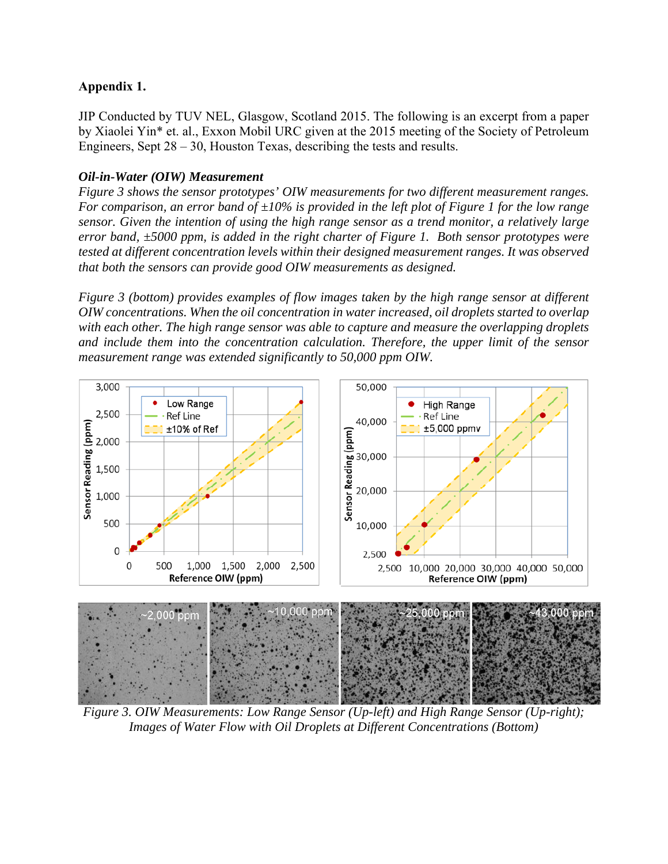### **Appendix 1.**

JIP Conducted by TUV NEL, Glasgow, Scotland 2015. The following is an excerpt from a paper by Xiaolei Yin\* et. al., Exxon Mobil URC given at the 2015 meeting of the Society of Petroleum Engineers, Sept  $28 - 30$ , Houston Texas, describing the tests and results.

### *Oil-in-Water (OIW) Measurement*

*Figure 3 shows the sensor prototypes' OIW measurements for two different measurement ranges. For comparison, an error band of ±10% is provided in the left plot of Figure 1 for the low range sensor. Given the intention of using the high range sensor as a trend monitor, a relatively large error band, ±5000 ppm, is added in the right charter of Figure 1. Both sensor prototypes were tested at different concentration levels within their designed measurement ranges. It was observed that both the sensors can provide good OIW measurements as designed.* 

*Figure 3 (bottom) provides examples of flow images taken by the high range sensor at different OIW concentrations. When the oil concentration in water increased, oil droplets started to overlap with each other. The high range sensor was able to capture and measure the overlapping droplets and include them into the concentration calculation. Therefore, the upper limit of the sensor measurement range was extended significantly to 50,000 ppm OIW.* 



*Figure 3. OIW Measurements: Low Range Sensor (Up-left) and High Range Sensor (Up-right); Images of Water Flow with Oil Droplets at Different Concentrations (Bottom)*